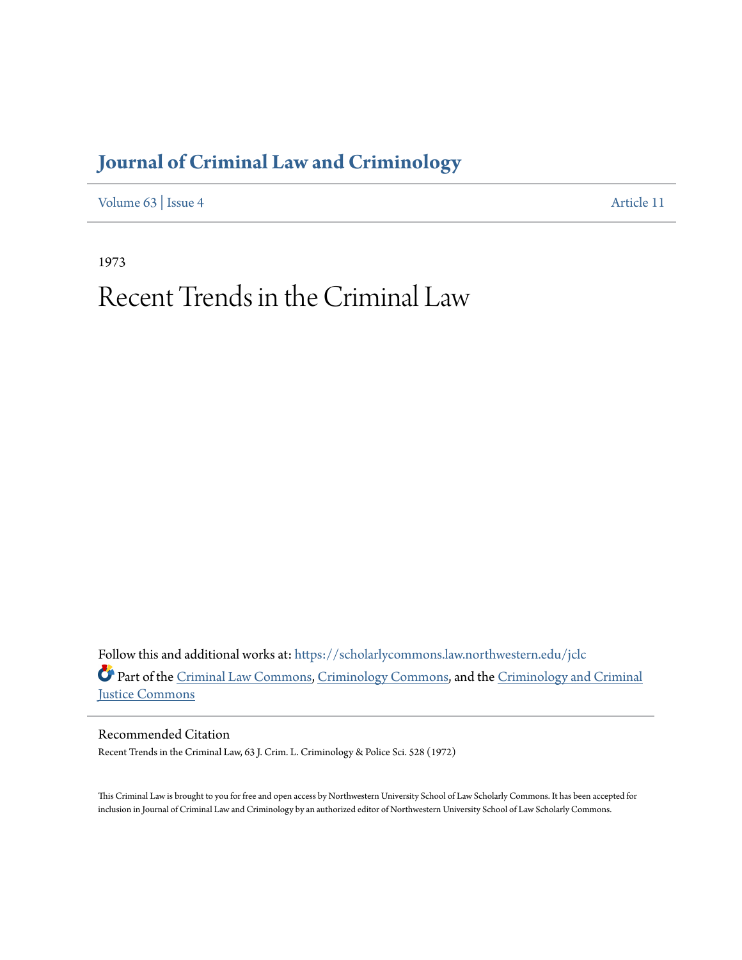# **[Journal of Criminal Law and Criminology](https://scholarlycommons.law.northwestern.edu/jclc?utm_source=scholarlycommons.law.northwestern.edu%2Fjclc%2Fvol63%2Fiss4%2F11&utm_medium=PDF&utm_campaign=PDFCoverPages)**

[Volume 63](https://scholarlycommons.law.northwestern.edu/jclc/vol63?utm_source=scholarlycommons.law.northwestern.edu%2Fjclc%2Fvol63%2Fiss4%2F11&utm_medium=PDF&utm_campaign=PDFCoverPages) | [Issue 4](https://scholarlycommons.law.northwestern.edu/jclc/vol63/iss4?utm_source=scholarlycommons.law.northwestern.edu%2Fjclc%2Fvol63%2Fiss4%2F11&utm_medium=PDF&utm_campaign=PDFCoverPages) [Article 11](https://scholarlycommons.law.northwestern.edu/jclc/vol63/iss4/11?utm_source=scholarlycommons.law.northwestern.edu%2Fjclc%2Fvol63%2Fiss4%2F11&utm_medium=PDF&utm_campaign=PDFCoverPages)

1973

# Recent Trends in the Criminal Law

Follow this and additional works at: [https://scholarlycommons.law.northwestern.edu/jclc](https://scholarlycommons.law.northwestern.edu/jclc?utm_source=scholarlycommons.law.northwestern.edu%2Fjclc%2Fvol63%2Fiss4%2F11&utm_medium=PDF&utm_campaign=PDFCoverPages) Part of the [Criminal Law Commons](http://network.bepress.com/hgg/discipline/912?utm_source=scholarlycommons.law.northwestern.edu%2Fjclc%2Fvol63%2Fiss4%2F11&utm_medium=PDF&utm_campaign=PDFCoverPages), [Criminology Commons](http://network.bepress.com/hgg/discipline/417?utm_source=scholarlycommons.law.northwestern.edu%2Fjclc%2Fvol63%2Fiss4%2F11&utm_medium=PDF&utm_campaign=PDFCoverPages), and the [Criminology and Criminal](http://network.bepress.com/hgg/discipline/367?utm_source=scholarlycommons.law.northwestern.edu%2Fjclc%2Fvol63%2Fiss4%2F11&utm_medium=PDF&utm_campaign=PDFCoverPages) [Justice Commons](http://network.bepress.com/hgg/discipline/367?utm_source=scholarlycommons.law.northwestern.edu%2Fjclc%2Fvol63%2Fiss4%2F11&utm_medium=PDF&utm_campaign=PDFCoverPages)

Recommended Citation Recent Trends in the Criminal Law, 63 J. Crim. L. Criminology & Police Sci. 528 (1972)

This Criminal Law is brought to you for free and open access by Northwestern University School of Law Scholarly Commons. It has been accepted for inclusion in Journal of Criminal Law and Criminology by an authorized editor of Northwestern University School of Law Scholarly Commons.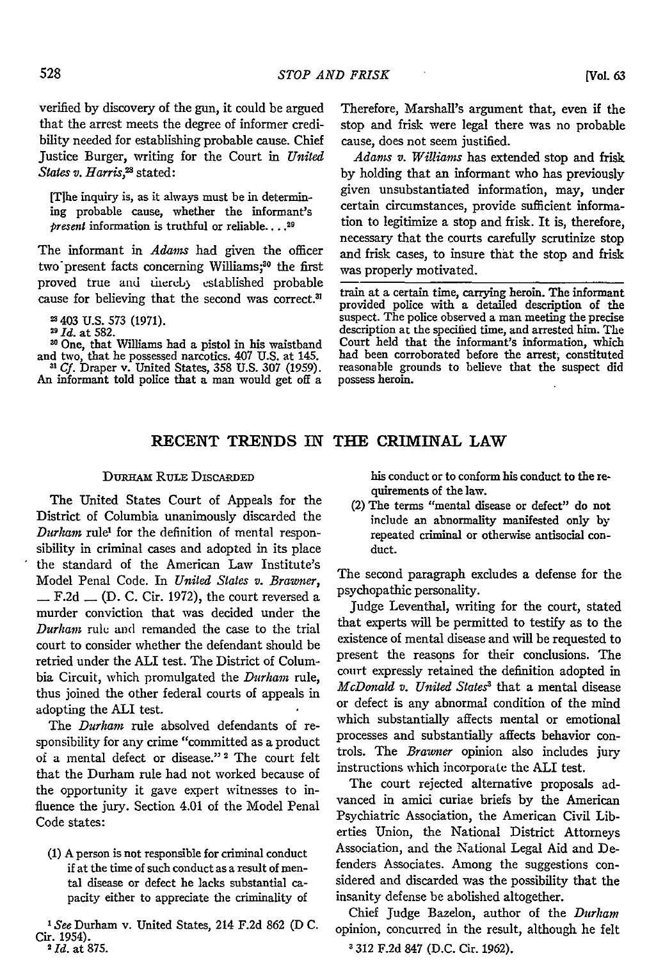verified by discovery of the gun, it could be argued that the arrest meets the degree of informer credibility needed for establishing probable cause. Chief Justice Burger, writing for the Court in *United States v. Harris,2 s* stated:

[Tihe inquiry is, as it always must be in determining probable cause, whether the informant's *present* information is truthful or reliable...<sup>29</sup>

The informant in *Adams* had given the officer two present facts concerning Williams;<sup>30</sup> the first proved true and thereb) established probable cause for believing that the second was correct.<sup>3</sup>

**-** 403 U.S. 573 (1971). *" Id.* at 582.

**10** One, that Williams had a pistol in his waistband and two, that he possessed narcotics. 407 U.S. at 145.

*3 Cf.* Draper v. United States, 358 U.S. **307** (1959). An informant told police that a man would get off a

Therefore, Marshall's argument that, even **if** the stop and frisk were legal there was no probable cause, does not seem justified.

*Adams v. Williams* has extended stop and frisk **by** holding that an informant who has previously given unsubstantiated information, may, under certain circumstances, provide sufficient information to legitimize a stop and frisk. It is, therefore, necessary that the courts carefully scrutinize stop and frisk cases, to insure that the stop and frisk was properly motivated.

train at a certain time, carrying heroin. The informant provided police with a detailed description of the suspect. The police observed a man meeting the precise description at the specified time, and arrested him. The Court held that the informant's information, which had been corroborated before the arrest, constituted reasonable grounds to believe that the suspect did possess heroin.

## **RECENT TRENDS IN THE CRIMINAL LAW**

### **DURHAM RULE DISCARDED**

The United States Court of Appeals for the District of Columbia unanimously discarded the *Durham* rule<sup>1</sup> for the definition of mental responsibility in criminal cases and adopted in its place the standard of the American Law Institute's Model Penal Code. In *United States v. Brawner,* **-** F.2d **-** (D. C. Cir. 1972), the court reversed a murder conviction that was decided under the *Durham* rule and remanded the case to the trial court to consider whether the defendant should be retried under the ALI test. The District of Columbia Circuit, which promulgated the *Durham* rule, thus joined the other federal courts of appeals in adopting the ALI test.

The *Durham* rule absolved defendants of responsibility for any crime "committed as a product of a mental defect or disease." 2 The court felt that the Durham rule had not worked because of the opportunity it gave expert witnesses to influence the jury. Section 4.01 of the Model Penal Code states:

(1) A person is not responsible for criminal conduct if at the time of such conduct as a result of mental disease or defect he lacks substantial capacity either to appreciate the criminality of

*See* Durham v. United States, 214 F.2d 862 (D C. Cir. 1954). *2Id.* at 875.

his conduct or to conform his conduct to the requirements of the law.

(2) The terms "mental disease or defect" do not include an abnormality manifested only **by** repeated criminal or otherwise antisocial conduct.

The second paragraph excludes a defense for the psychopathic personality.

Judge Leventhal, writing for the court, stated that experts will be permitted to testify as to the existence of mental disease and will be requested to present the reasons for their conclusions. The court expressly retained the definition adopted in *McDomald v. United States'* that a mental disease or defect is any abnormal condition of the mind which substantially affects mental or emotional processes and substantially affects behavior controls. The *Brawner* opinion also includes jury instructions which incorporate the ALI test.

The court rejected alternative proposals advanced in amici curiae briefs by the American Psychiatric Association, the American Civil Liberties Union, the National District Attorneys Association, and the National Legal Aid and Defenders Associates. Among the suggestions considered and discarded was the possibility that the insanity defense be abolished altogether.

Chief Judge Bazelon, author of the *Durham* opinion, concurred in the result, although he felt

**3** 312 F.2d 847 (D.C. Cir. 1962).